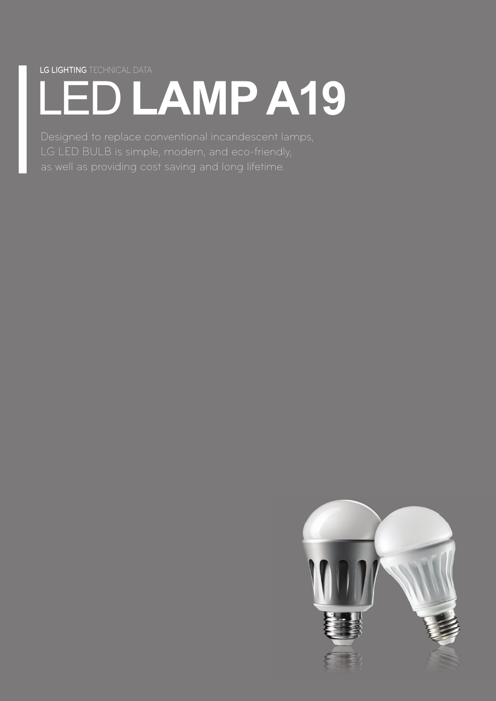LG LIGHTING TECHNICAL DATA

# LED **LAMP A19**

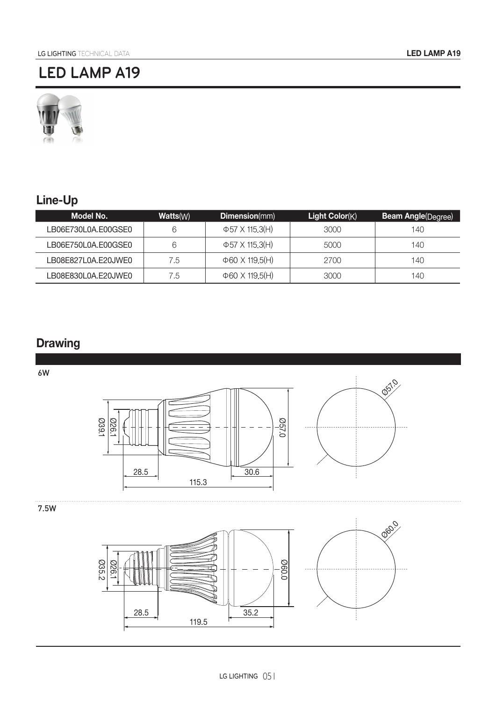

# **Line-Up**

| Model No.           | Watts(W) | <b>Dimension</b> (mm)       | Light Color(K) | <b>Beam Angle</b> (Degree) |
|---------------------|----------|-----------------------------|----------------|----------------------------|
| LB06E730L0A.E00GSE0 | 6        | $\Phi$ 57 X 115.3(H)        | 3000           | 140                        |
| LB06E750L0A.E00GSE0 | 6        | $\Phi$ 57 X 115.3(H)        | 5000           | 140                        |
| LB08E827L0A.E20JWE0 | 7.5      | $\Phi$ 60 $\times$ 119.5(H) | 2700           | 140                        |
| LB08E830L0A.E20JWE0 | 7.5      | $\Phi$ 60 $\times$ 119.5(H) | 3000           | 140                        |

## **Drawing**

6W



7.5W

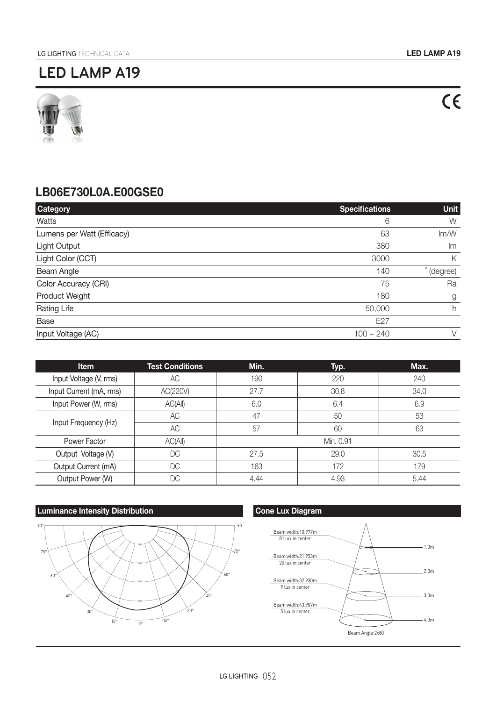

### **LB06E730L0A.E00GSE0**

| <b>Category</b>            | <b>Specifications</b> | <b>Unit</b> |
|----------------------------|-----------------------|-------------|
| <b>Watts</b>               | 6                     | W           |
| Lumens per Watt (Efficacy) | 63                    | Im/W        |
| Light Output               | 380                   | Im          |
| Light Color (CCT)          | 3000                  | Κ           |
| Beam Angle                 | 140                   | (degree)    |
| Color Accuracy (CRI)       | 75                    | Ra          |
| Product Weight             | 180                   | g           |
| Rating Life                | 50,000                | h           |
| Base                       | E27                   |             |
| Input Voltage (AC)         | $100 \sim 240$        | $\vee$      |

| <b>Item</b>             | <b>Test Conditions</b> | Min.      | Typ. | Max. |
|-------------------------|------------------------|-----------|------|------|
| Input Voltage (V, rms)  | AC                     | 190       | 220  | 240  |
| Input Current (mA, rms) | AC(220V)               | 27.7      | 30.8 | 34.0 |
| Input Power (W, rms)    | AC(AII)                | 6.0       | 6.4  | 6.9  |
| Input Frequency (Hz)    | AC                     | 47        | 50   | 53   |
|                         | <b>AC</b>              | 57        | 60   | 63   |
| Power Factor            | AC(AII)                | Min. 0.91 |      |      |
| Output Voltage (V)      | DC                     | 27.5      | 29.0 | 30.5 |
| Output Current (mA)     | DC                     | 163       | 172  | 179  |
| Output Power (W)        | DC                     | 4.44      | 4.93 | 5.44 |

#### **Luminance Intensity Distribution Cone Lux Diagram** Cone Lux Diagram



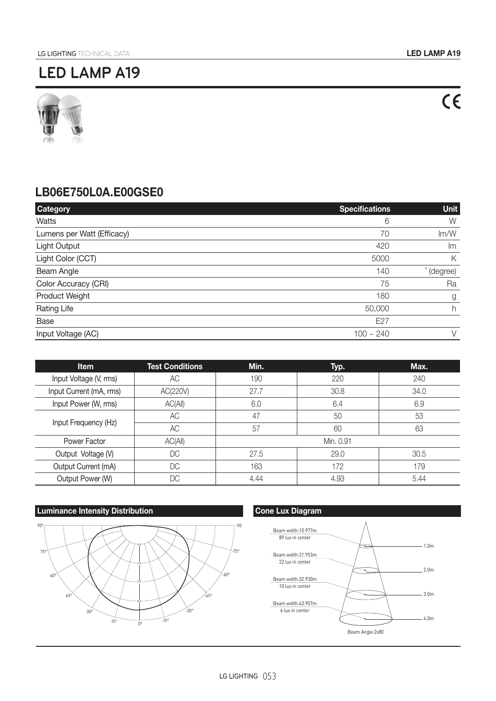$C \in$ 

# **LED LAMP A19**



### **LB06E750L0A.E00GSE0**

| <b>Category</b>            | <b>Specifications</b> | <b>Unit</b> |
|----------------------------|-----------------------|-------------|
| Watts                      | 6                     | W           |
| Lumens per Watt (Efficacy) | 70                    | Im/W        |
| Light Output               | 420                   | Im          |
| Light Color (CCT)          | 5000                  | Κ           |
| Beam Angle                 | 140                   | (degree)    |
| Color Accuracy (CRI)       | 75                    | Ra          |
| Product Weight             | 180                   | g           |
| <b>Rating Life</b>         | 50,000                | h           |
| Base                       | E27                   |             |
| Input Voltage (AC)         | $100 \sim 240$        | $\vee$      |

| <b>Item</b>             | <b>Test Conditions</b> | Min.      | Typ. | Max. |
|-------------------------|------------------------|-----------|------|------|
| Input Voltage (V, rms)  | АC                     | 190       | 220  | 240  |
| Input Current (mA, rms) | AC(220V)               | 27.7      | 30.8 | 34.0 |
| Input Power (W, rms)    | AC(AII)                | 6.0       | 6.4  | 6.9  |
| Input Frequency (Hz)    | AC                     | 47        | 50   | 53   |
|                         | AC                     | 57        | 60   | 63   |
| Power Factor            | AC(AII)                | Min. 0.91 |      |      |
| Output Voltage (V)      | DC                     | 27.5      | 29.0 | 30.5 |
| Output Current (mA)     | DC                     | 163       | 172  | 179  |
| Output Power (W)        | DC                     | 4.44      | 4.93 | 5.44 |

#### **Luminance Intensity Distribution Cone Lux Diagram**



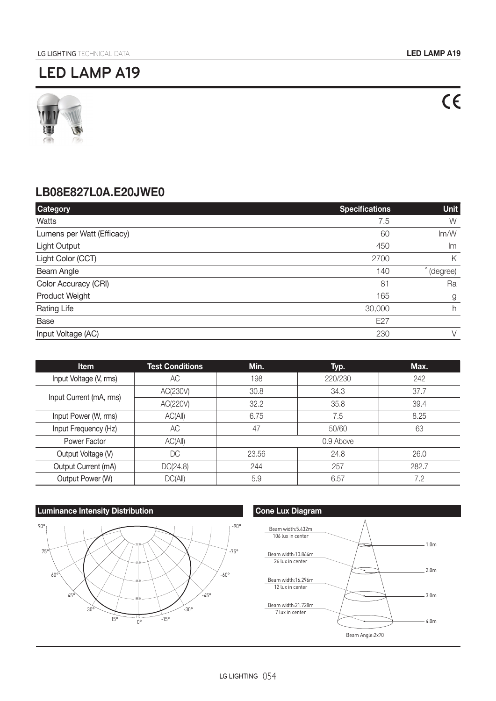

### **LB08E827L0A.E20JWE0**

| <b>Category</b>            | <b>Specifications</b> | <b>Unit</b> |
|----------------------------|-----------------------|-------------|
| Watts                      | 7.5                   | W           |
| Lumens per Watt (Efficacy) | 60                    | Im/W        |
| Light Output               | 450                   | Im          |
| Light Color (CCT)          | 2700                  | Κ           |
| Beam Angle                 | 140                   | (degree)    |
| Color Accuracy (CRI)       | 81                    | Ra          |
| Product Weight             | 165                   | g           |
| <b>Rating Life</b>         | 30,000                | h           |
| Base                       | E27                   |             |
| Input Voltage (AC)         | 230                   | $\vee$      |

| Item                    | <b>Test Conditions</b> | Min.      | Typ.    | Max.  |
|-------------------------|------------------------|-----------|---------|-------|
| Input Voltage (V, rms)  | АC                     | 198       | 220/230 | 242   |
| Input Current (mA, rms) | AC(230V)               | 30.8      | 34.3    | 37.7  |
|                         | AC(220V)               | 32.2      | 35.8    | 39.4  |
| Input Power (W, rms)    | AC(AII)                | 6.75      | 7.5     | 8.25  |
| Input Frequency (Hz)    | АC                     | 47        | 50/60   | 63    |
| Power Factor            | AC(AII)                | 0.9 Above |         |       |
| Output Voltage (V)      | DC                     | 23.56     | 24.8    | 26.0  |
| Output Current (mA)     | DC(24.8)               | 244       | 257     | 282.7 |
| Output Power (W)        | DC(AII)                | 5.9       | 6.57    | 7.2   |

#### **Luminance Intensity Distribution Cone Lux Diagram**



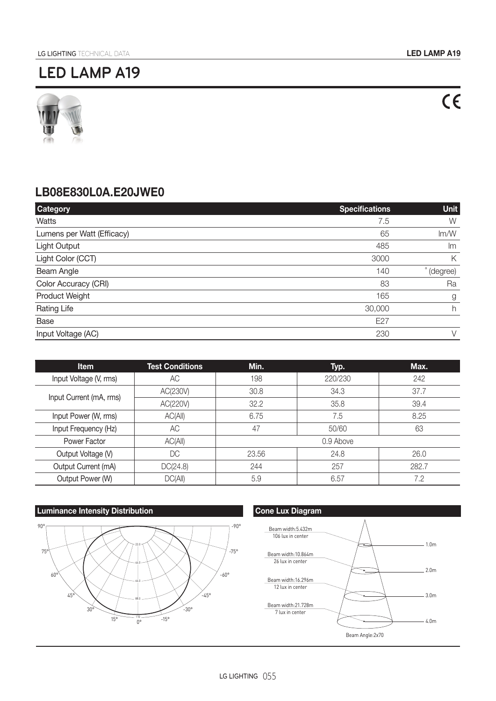

### **LB08E830L0A.E20JWE0**

| <b>Category</b>            | <b>Specifications</b> | <b>Unit</b> |
|----------------------------|-----------------------|-------------|
| Watts                      | 7.5                   | W           |
| Lumens per Watt (Efficacy) | 65                    | Im/W        |
| Light Output               | 485                   | Im          |
| Light Color (CCT)          | 3000                  | К           |
| Beam Angle                 | 140                   | (degree)    |
| Color Accuracy (CRI)       | 83                    | Ra          |
| Product Weight             | 165                   | g           |
| <b>Rating Life</b>         | 30,000                | h           |
| Base                       | E27                   |             |
| Input Voltage (AC)         | 230                   | V           |

| Item                    | <b>Test Conditions</b> | Min.      | Typ.    | Max.  |
|-------------------------|------------------------|-----------|---------|-------|
| Input Voltage (V, rms)  | АC                     | 198       | 220/230 | 242   |
| Input Current (mA, rms) | AC(230V)               | 30.8      | 34.3    | 37.7  |
|                         | AC(220V)               | 32.2      | 35.8    | 39.4  |
| Input Power (W, rms)    | AC(AII)                | 6.75      | 7.5     | 8.25  |
| Input Frequency (Hz)    | AC                     | 47        | 50/60   | 63    |
| Power Factor            | AC(AII)                | 0.9 Above |         |       |
| Output Voltage (V)      | DC                     | 23.56     | 24.8    | 26.0  |
| Output Current (mA)     | DC(24.8)               | 244       | 257     | 282.7 |
| Output Power (W)        | DC(AII)                | 5.9       | 6.57    | 7.2   |







 $C \in$